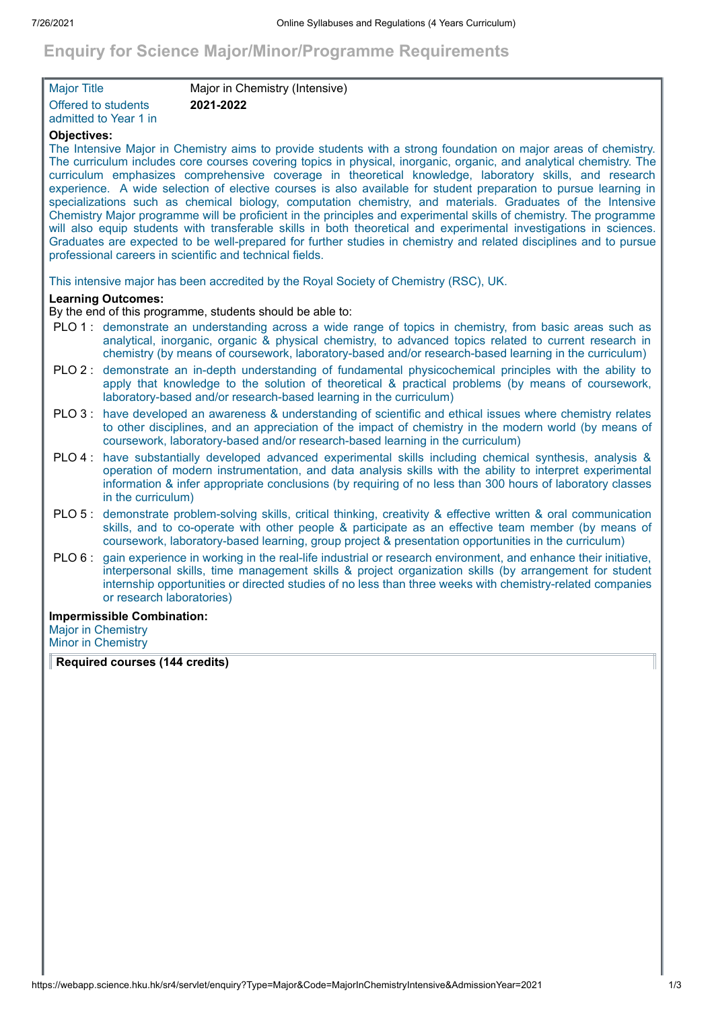# **Enquiry for Science Major/Minor/Programme Requirements**

| <b>Major Title</b>    | Major in Chemistry (Intensive) |
|-----------------------|--------------------------------|
| Offered to students   | 2021-2022                      |
| admitted to Year 1 in |                                |

### **Objectives:**

The Intensive Major in Chemistry aims to provide students with a strong foundation on major areas of chemistry. The curriculum includes core courses covering topics in physical, inorganic, organic, and analytical chemistry. The curriculum emphasizes comprehensive coverage in theoretical knowledge, laboratory skills, and research experience. A wide selection of elective courses is also available for student preparation to pursue learning in specializations such as chemical biology, computation chemistry, and materials. Graduates of the Intensive Chemistry Major programme will be proficient in the principles and experimental skills of chemistry. The programme will also equip students with transferable skills in both theoretical and experimental investigations in sciences. Graduates are expected to be well-prepared for further studies in chemistry and related disciplines and to pursue professional careers in scientific and technical fields.

This intensive major has been accredited by the Royal Society of Chemistry (RSC), UK.

## **Learning Outcomes:**

By the end of this programme, students should be able to:

- PLO 1 : demonstrate an understanding across a wide range of topics in chemistry, from basic areas such as analytical, inorganic, organic & physical chemistry, to advanced topics related to current research in chemistry (by means of coursework, laboratory-based and/or research-based learning in the curriculum)
- PLO 2 : demonstrate an in-depth understanding of fundamental physicochemical principles with the ability to apply that knowledge to the solution of theoretical & practical problems (by means of coursework, laboratory-based and/or research-based learning in the curriculum)
- PLO 3 : have developed an awareness & understanding of scientific and ethical issues where chemistry relates to other disciplines, and an appreciation of the impact of chemistry in the modern world (by means of coursework, laboratory-based and/or research-based learning in the curriculum)
- PLO 4 : have substantially developed advanced experimental skills including chemical synthesis, analysis & operation of modern instrumentation, and data analysis skills with the ability to interpret experimental information & infer appropriate conclusions (by requiring of no less than 300 hours of laboratory classes in the curriculum)
- PLO 5 : demonstrate problem-solving skills, critical thinking, creativity & effective written & oral communication skills, and to co-operate with other people & participate as an effective team member (by means of coursework, laboratory-based learning, group project & presentation opportunities in the curriculum)
- PLO 6 : gain experience in working in the real-life industrial or research environment, and enhance their initiative, interpersonal skills, time management skills & project organization skills (by arrangement for student internship opportunities or directed studies of no less than three weeks with chemistry-related companies or research laboratories)

#### **Impermissible Combination:**

Major in Chemistry Minor in Chemistry

**Required courses (144 credits)**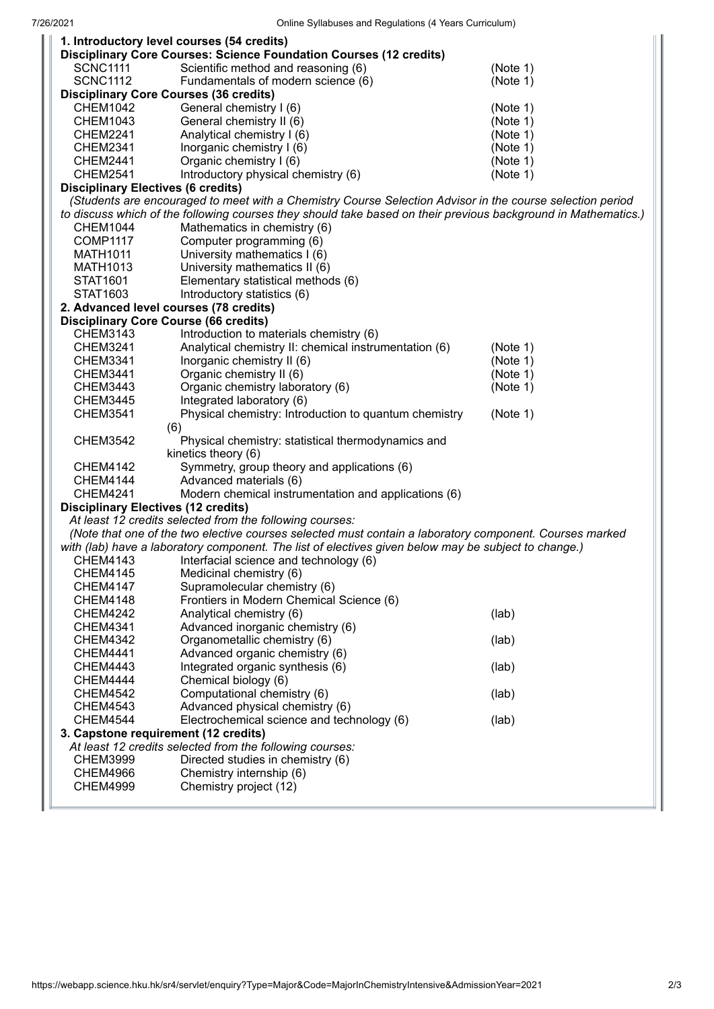| 1. Introductory level courses (54 credits)                                                                |                                                                                                                |          |
|-----------------------------------------------------------------------------------------------------------|----------------------------------------------------------------------------------------------------------------|----------|
|                                                                                                           | <b>Disciplinary Core Courses: Science Foundation Courses (12 credits)</b>                                      |          |
| <b>SCNC1111</b>                                                                                           | Scientific method and reasoning (6)                                                                            | (Note 1) |
| <b>SCNC1112</b>                                                                                           | Fundamentals of modern science (6)                                                                             | (Note 1) |
|                                                                                                           | <b>Disciplinary Core Courses (36 credits)</b>                                                                  |          |
| <b>CHEM1042</b>                                                                                           | General chemistry I (6)                                                                                        | (Note 1) |
| <b>CHEM1043</b>                                                                                           | General chemistry II (6)                                                                                       | (Note 1) |
| CHEM2241                                                                                                  | Analytical chemistry I (6)                                                                                     | (Note 1) |
| <b>CHEM2341</b>                                                                                           | Inorganic chemistry I (6)                                                                                      | (Note 1) |
| <b>CHEM2441</b>                                                                                           | Organic chemistry I (6)                                                                                        | (Note 1) |
| <b>CHEM2541</b>                                                                                           | Introductory physical chemistry (6)                                                                            | (Note 1) |
| <b>Disciplinary Electives (6 credits)</b>                                                                 |                                                                                                                |          |
| (Students are encouraged to meet with a Chemistry Course Selection Advisor in the course selection period |                                                                                                                |          |
|                                                                                                           | to discuss which of the following courses they should take based on their previous background in Mathematics.) |          |
| CHEM1044                                                                                                  | Mathematics in chemistry (6)                                                                                   |          |
| <b>COMP1117</b>                                                                                           | Computer programming (6)                                                                                       |          |
| <b>MATH1011</b>                                                                                           | University mathematics I (6)                                                                                   |          |
| MATH1013                                                                                                  | University mathematics II (6)                                                                                  |          |
| STAT1601                                                                                                  | Elementary statistical methods (6)                                                                             |          |
| STAT1603                                                                                                  | Introductory statistics (6)                                                                                    |          |
| 2. Advanced level courses (78 credits)                                                                    |                                                                                                                |          |
| <b>Disciplinary Core Course (66 credits)</b>                                                              |                                                                                                                |          |
| <b>CHEM3143</b>                                                                                           | Introduction to materials chemistry (6)                                                                        |          |
| <b>CHEM3241</b>                                                                                           | Analytical chemistry II: chemical instrumentation (6)                                                          | (Note 1) |
| CHEM3341                                                                                                  | Inorganic chemistry II (6)                                                                                     | (Note 1) |
| <b>CHEM3441</b>                                                                                           | Organic chemistry II (6)                                                                                       | (Note 1) |
| <b>CHEM3443</b>                                                                                           | Organic chemistry laboratory (6)                                                                               | (Note 1) |
| <b>CHEM3445</b>                                                                                           | Integrated laboratory (6)                                                                                      |          |
| <b>CHEM3541</b>                                                                                           | Physical chemistry: Introduction to quantum chemistry                                                          | (Note 1) |
|                                                                                                           | (6)                                                                                                            |          |
| <b>CHEM3542</b>                                                                                           | Physical chemistry: statistical thermodynamics and                                                             |          |
|                                                                                                           | kinetics theory (6)                                                                                            |          |
| <b>CHEM4142</b>                                                                                           | Symmetry, group theory and applications (6)                                                                    |          |
| <b>CHEM4144</b>                                                                                           | Advanced materials (6)                                                                                         |          |
| <b>CHEM4241</b>                                                                                           | Modern chemical instrumentation and applications (6)                                                           |          |
| <b>Disciplinary Electives (12 credits)</b>                                                                |                                                                                                                |          |
| At least 12 credits selected from the following courses:                                                  |                                                                                                                |          |
| (Note that one of the two elective courses selected must contain a laboratory component. Courses marked   |                                                                                                                |          |
| with (lab) have a laboratory component. The list of electives given below may be subject to change.)      |                                                                                                                |          |
| CHEM4143                                                                                                  | Interfacial science and technology (6)                                                                         |          |
| <b>CHEM4145</b>                                                                                           | Medicinal chemistry (6)                                                                                        |          |
| <b>CHEM4147</b>                                                                                           | Supramolecular chemistry (6)                                                                                   |          |
| <b>CHEM4148</b>                                                                                           | Frontiers in Modern Chemical Science (6)                                                                       |          |
| <b>CHEM4242</b>                                                                                           | Analytical chemistry (6)                                                                                       | (lab)    |
| <b>CHEM4341</b>                                                                                           | Advanced inorganic chemistry (6)                                                                               |          |
| <b>CHEM4342</b>                                                                                           | Organometallic chemistry (6)                                                                                   | (lab)    |
| <b>CHEM4441</b>                                                                                           | Advanced organic chemistry (6)                                                                                 |          |
| <b>CHEM4443</b>                                                                                           | Integrated organic synthesis (6)                                                                               | (lab)    |
| CHEM4444                                                                                                  | Chemical biology (6)                                                                                           |          |
| <b>CHEM4542</b>                                                                                           | Computational chemistry (6)                                                                                    | (lab)    |
| <b>CHEM4543</b>                                                                                           | Advanced physical chemistry (6)                                                                                |          |
| <b>CHEM4544</b>                                                                                           | Electrochemical science and technology (6)                                                                     | (lab)    |
| 3. Capstone requirement (12 credits)                                                                      |                                                                                                                |          |
|                                                                                                           | At least 12 credits selected from the following courses:                                                       |          |
| <b>CHEM3999</b>                                                                                           | Directed studies in chemistry (6)                                                                              |          |
| <b>CHEM4966</b>                                                                                           | Chemistry internship (6)                                                                                       |          |
| <b>CHEM4999</b>                                                                                           | Chemistry project (12)                                                                                         |          |
|                                                                                                           |                                                                                                                |          |